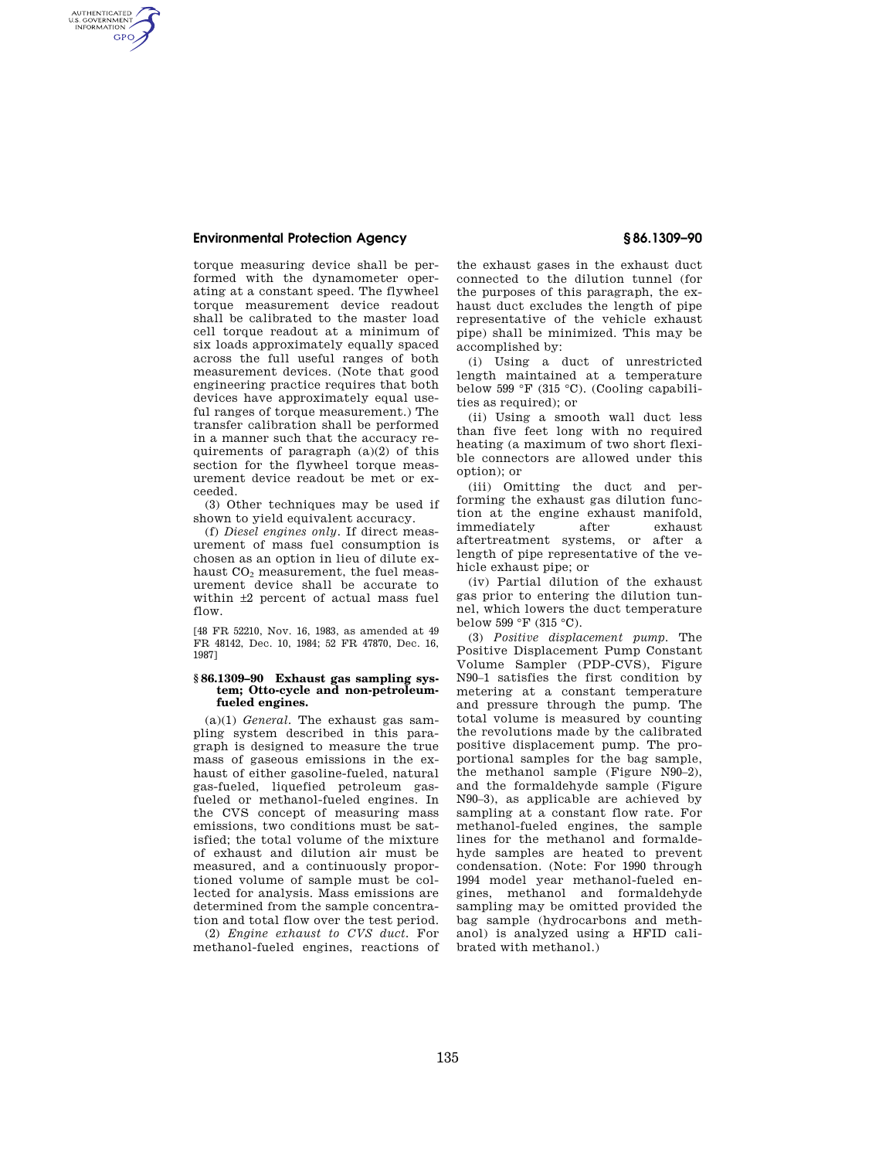AUTHENTICATED<br>U.S. GOVERNMENT<br>INFORMATION **GPO** 

> torque measuring device shall be performed with the dynamometer operating at a constant speed. The flywheel torque measurement device readout shall be calibrated to the master load cell torque readout at a minimum of six loads approximately equally spaced across the full useful ranges of both measurement devices. (Note that good engineering practice requires that both devices have approximately equal useful ranges of torque measurement.) The transfer calibration shall be performed in a manner such that the accuracy requirements of paragraph (a)(2) of this section for the flywheel torque measurement device readout be met or exceeded.

(3) Other techniques may be used if shown to yield equivalent accuracy.

(f) *Diesel engines only.* If direct measurement of mass fuel consumption is chosen as an option in lieu of dilute exhaust  $CO<sub>2</sub>$  measurement, the fuel measurement device shall be accurate to within ±2 percent of actual mass fuel flow.

[48 FR 52210, Nov. 16, 1983, as amended at 49 FR 48142, Dec. 10, 1984; 52 FR 47870, Dec. 16, 1987]

#### **§ 86.1309–90 Exhaust gas sampling system; Otto-cycle and non-petroleumfueled engines.**

(a)(1) *General.* The exhaust gas sampling system described in this paragraph is designed to measure the true mass of gaseous emissions in the exhaust of either gasoline-fueled, natural gas-fueled, liquefied petroleum gasfueled or methanol-fueled engines. In the CVS concept of measuring mass emissions, two conditions must be satisfied; the total volume of the mixture of exhaust and dilution air must be measured, and a continuously proportioned volume of sample must be collected for analysis. Mass emissions are determined from the sample concentration and total flow over the test period.

(2) *Engine exhaust to CVS duct.* For methanol-fueled engines, reactions of

the exhaust gases in the exhaust duct connected to the dilution tunnel (for the purposes of this paragraph, the exhaust duct excludes the length of pipe representative of the vehicle exhaust pipe) shall be minimized. This may be accomplished by:

(i) Using a duct of unrestricted length maintained at a temperature below 599 °F (315 °C). (Cooling capabilities as required); or

(ii) Using a smooth wall duct less than five feet long with no required heating (a maximum of two short flexible connectors are allowed under this option); or

(iii) Omitting the duct and performing the exhaust gas dilution function at the engine exhaust manifold, immediately after exhaust aftertreatment systems, or after a length of pipe representative of the vehicle exhaust pipe; or

(iv) Partial dilution of the exhaust gas prior to entering the dilution tunnel, which lowers the duct temperature below 599 °F (315 °C).

(3) *Positive displacement pump.* The Positive Displacement Pump Constant Volume Sampler (PDP-CVS), Figure N90–1 satisfies the first condition by metering at a constant temperature and pressure through the pump. The total volume is measured by counting the revolutions made by the calibrated positive displacement pump. The proportional samples for the bag sample, the methanol sample (Figure N90–2), and the formaldehyde sample (Figure N90–3), as applicable are achieved by sampling at a constant flow rate. For methanol-fueled engines, the sample lines for the methanol and formaldehyde samples are heated to prevent condensation. (Note: For 1990 through 1994 model year methanol-fueled engines, methanol and formaldehyde sampling may be omitted provided the bag sample (hydrocarbons and methanol) is analyzed using a HFID calibrated with methanol.)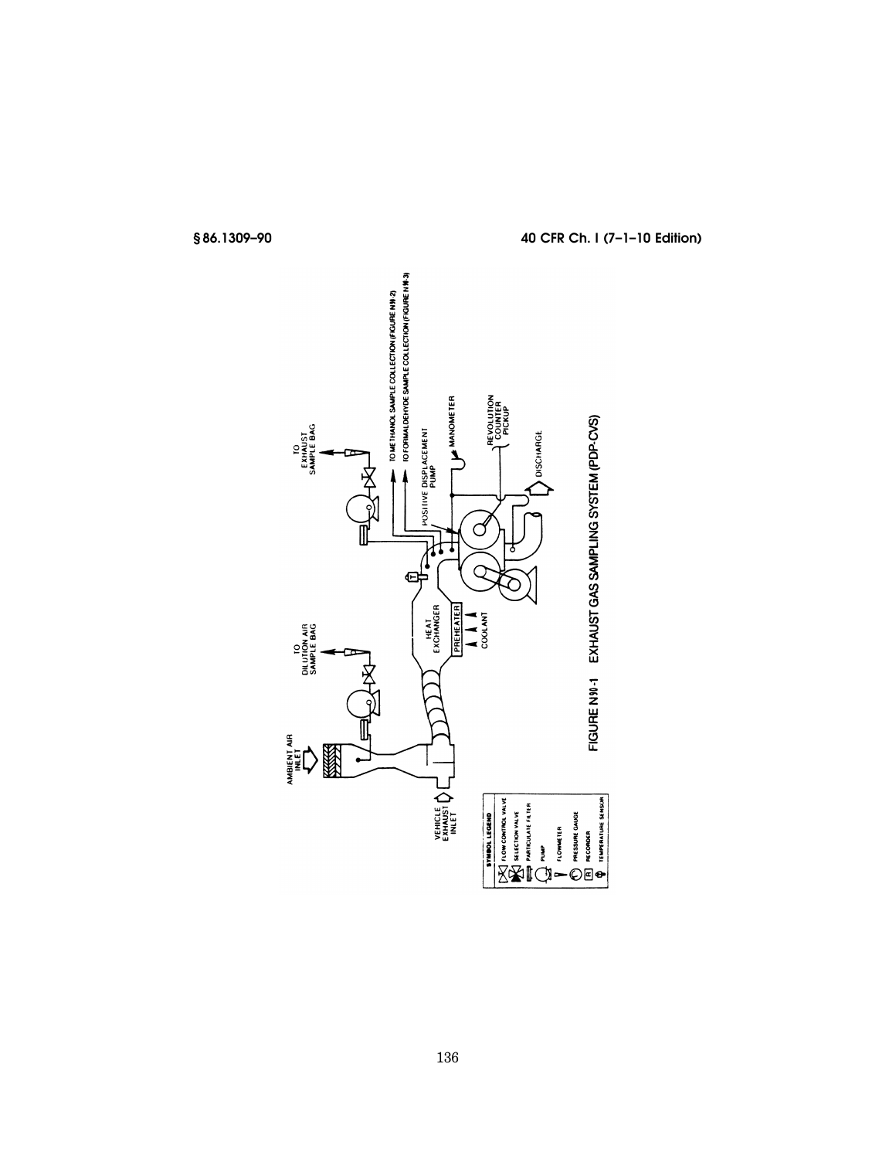

# **§ 86.1309–90 40 CFR Ch. I (7–1–10 Edition)**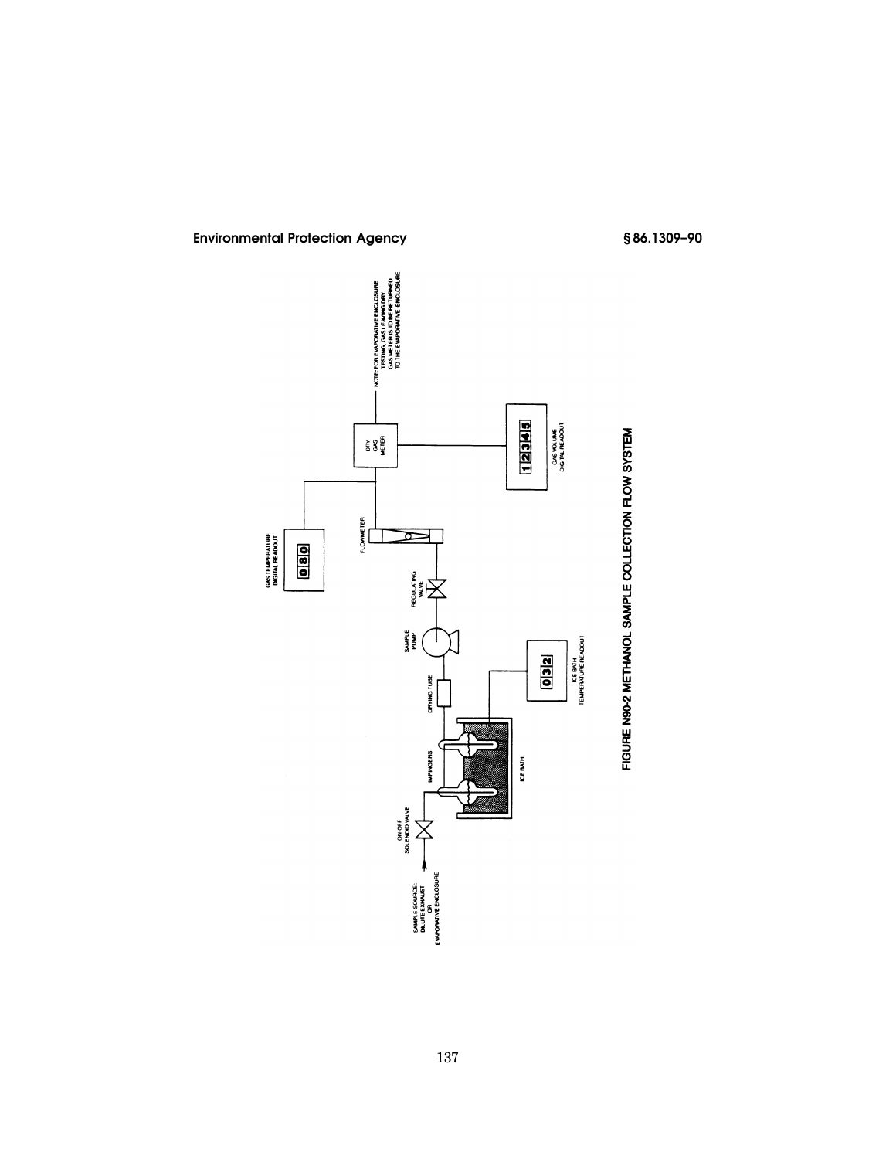

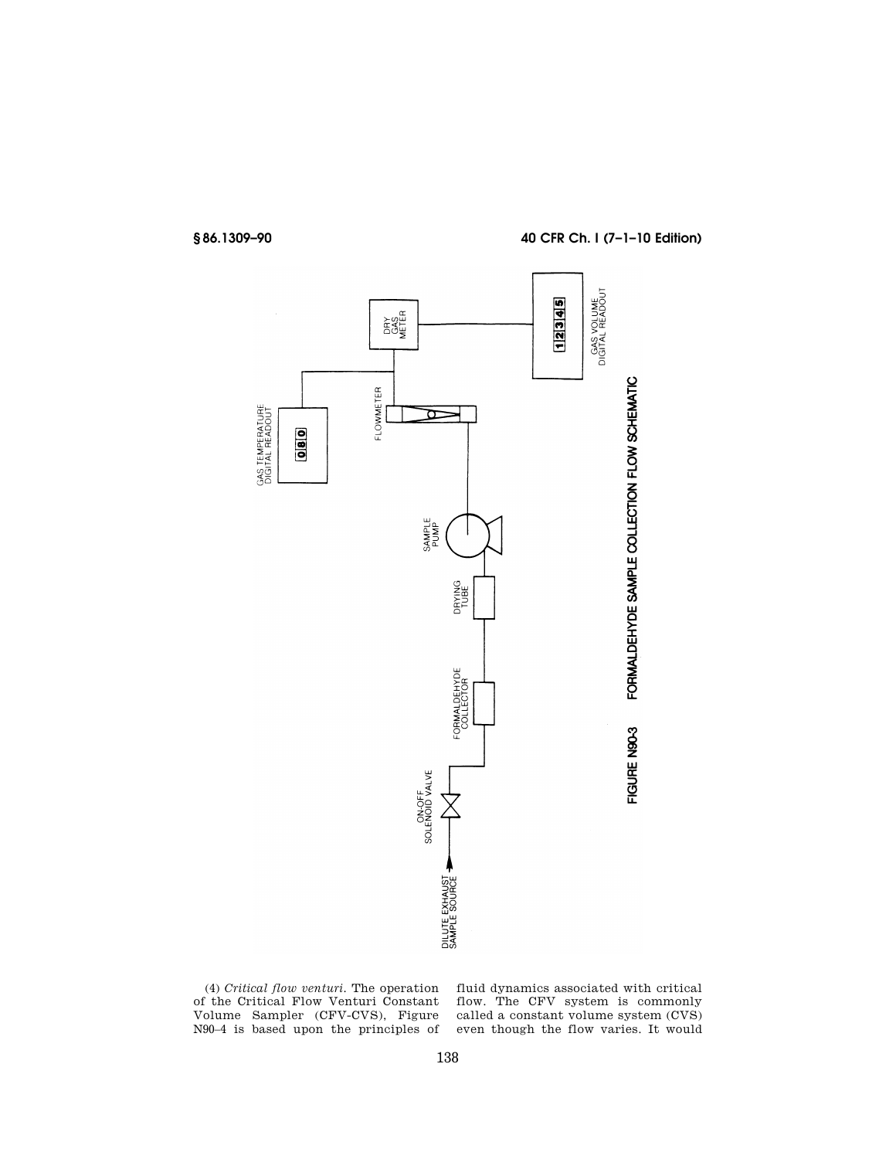

## **§ 86.1309–90 40 CFR Ch. I (7–1–10 Edition)**



(4) *Critical flow venturi.* The operation of the Critical Flow Venturi Constant Volume Sampler (CFV-CVS), Figure N90–4 is based upon the principles of fluid dynamics associated with critical flow. The CFV system is commonly called a constant volume system (CVS) even though the flow varies. It would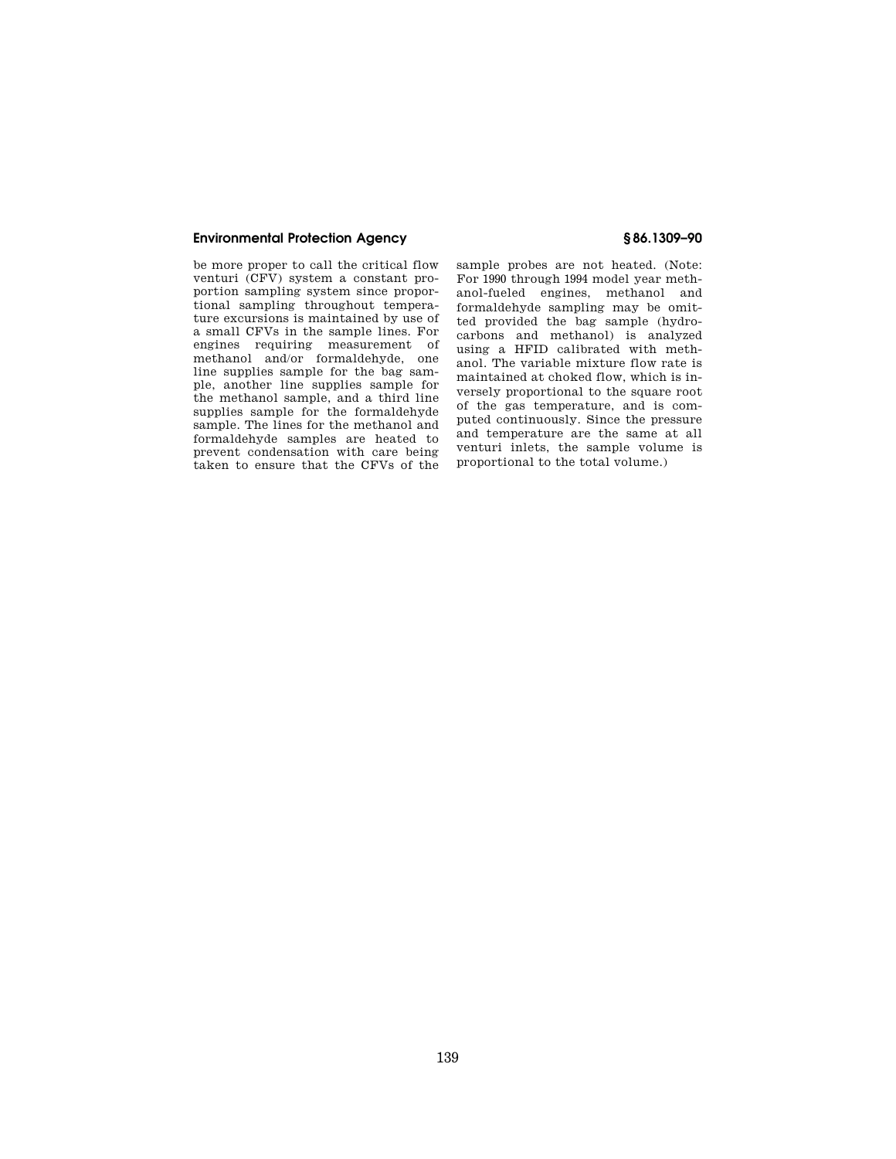be more proper to call the critical flow venturi (CFV) system a constant proportion sampling system since proportional sampling throughout temperature excursions is maintained by use of a small CFVs in the sample lines. For engines requiring measurement of methanol and/or formaldehyde, one line supplies sample for the bag sample, another line supplies sample for the methanol sample, and a third line supplies sample for the formaldehyde sample. The lines for the methanol and formaldehyde samples are heated to prevent condensation with care being taken to ensure that the CFVs of the

sample probes are not heated. (Note: For 1990 through 1994 model year methanol-fueled engines, methanol and formaldehyde sampling may be omitted provided the bag sample (hydrocarbons and methanol) is analyzed using a HFID calibrated with methanol. The variable mixture flow rate is maintained at choked flow, which is inversely proportional to the square root of the gas temperature, and is computed continuously. Since the pressure and temperature are the same at all venturi inlets, the sample volume is proportional to the total volume.)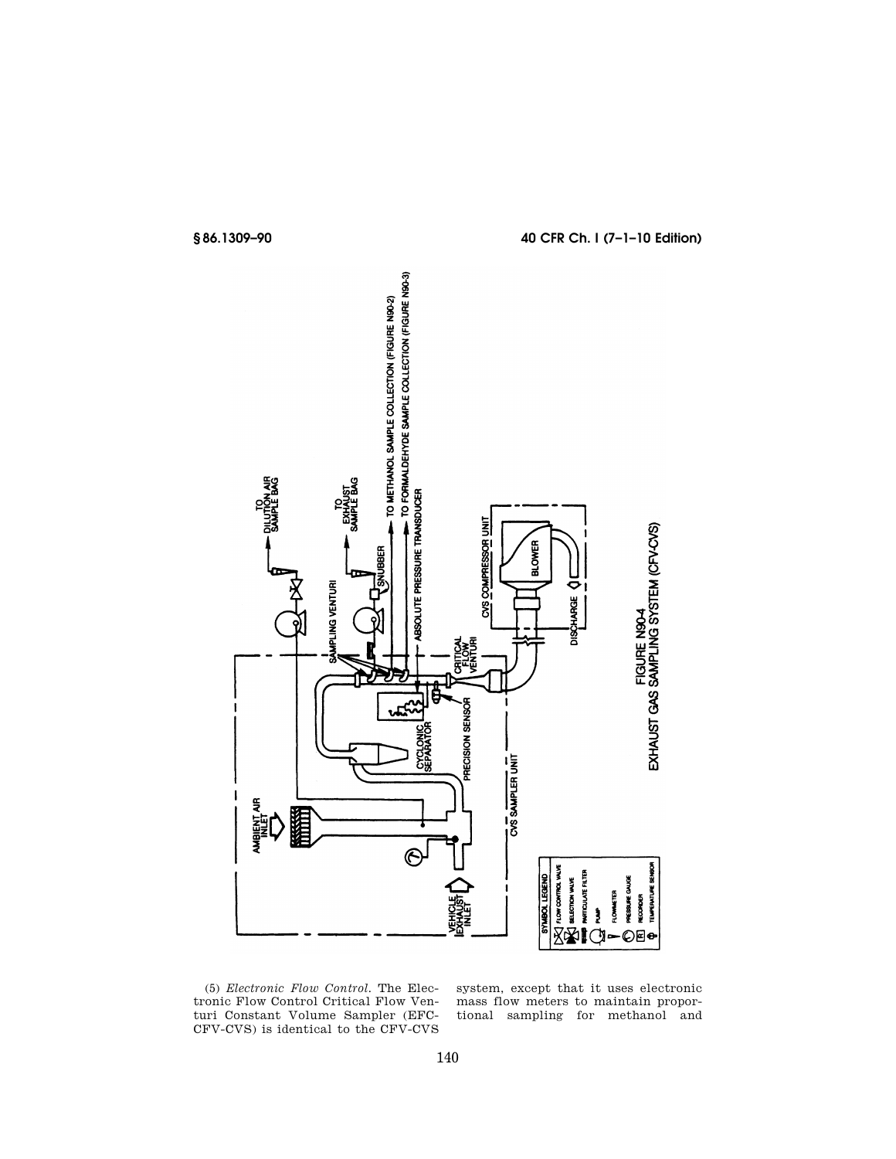

(5) *Electronic Flow Control.* The Electronic Flow Control Critical Flow Venturi Constant Volume Sampler (EFC-CFV-CVS) is identical to the CFV-CVS

system, except that it uses electronic mass flow meters to maintain proportional sampling for methanol and

## **§ 86.1309–90 40 CFR Ch. I (7–1–10 Edition)**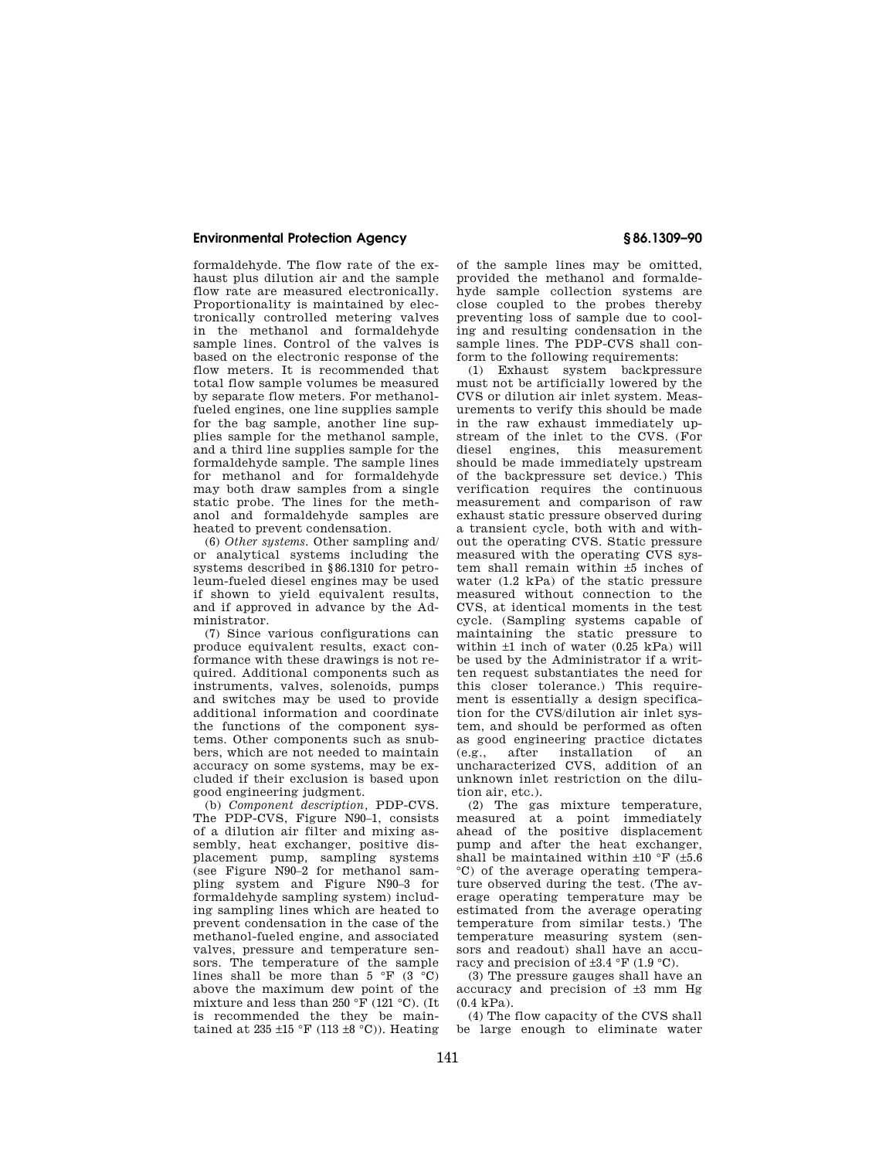formaldehyde. The flow rate of the exhaust plus dilution air and the sample flow rate are measured electronically. Proportionality is maintained by electronically controlled metering valves in the methanol and formaldehyde sample lines. Control of the valves is based on the electronic response of the flow meters. It is recommended that total flow sample volumes be measured by separate flow meters. For methanolfueled engines, one line supplies sample for the bag sample, another line supplies sample for the methanol sample, and a third line supplies sample for the formaldehyde sample. The sample lines for methanol and for formaldehyde may both draw samples from a single static probe. The lines for the methanol and formaldehyde samples are heated to prevent condensation.

(6) *Other systems.* Other sampling and/ or analytical systems including the systems described in §86.1310 for petroleum-fueled diesel engines may be used if shown to yield equivalent results, and if approved in advance by the Administrator.

(7) Since various configurations can produce equivalent results, exact conformance with these drawings is not required. Additional components such as instruments, valves, solenoids, pumps and switches may be used to provide additional information and coordinate the functions of the component systems. Other components such as snubbers, which are not needed to maintain accuracy on some systems, may be excluded if their exclusion is based upon good engineering judgment.

(b) *Component description,* PDP-CVS. The PDP-CVS, Figure N90–1, consists of a dilution air filter and mixing assembly, heat exchanger, positive displacement pump, sampling systems (see Figure N90–2 for methanol sampling system and Figure N90–3 for formaldehyde sampling system) including sampling lines which are heated to prevent condensation in the case of the methanol-fueled engine, and associated valves, pressure and temperature sensors. The temperature of the sample lines shall be more than  $5 \text{ }^\circ \text{F}$  (3  $\text{ }^\circ \text{C}$ ) above the maximum dew point of the mixture and less than  $250 \text{ }^\circ \text{F}$  (121 °C). (It is recommended the they be maintained at 235  $\pm$ 15 °F (113  $\pm$ 8 °C)). Heating

of the sample lines may be omitted, provided the methanol and formaldehyde sample collection systems are close coupled to the probes thereby preventing loss of sample due to cooling and resulting condensation in the sample lines. The PDP-CVS shall conform to the following requirements:

(1) Exhaust system backpressure must not be artificially lowered by the CVS or dilution air inlet system. Measurements to verify this should be made in the raw exhaust immediately upstream of the inlet to the CVS. (For diesel engines, this measurement should be made immediately upstream of the backpressure set device.) This verification requires the continuous measurement and comparison of raw exhaust static pressure observed during a transient cycle, both with and without the operating CVS. Static pressure measured with the operating CVS system shall remain within ±5 inches of water (1.2 kPa) of the static pressure measured without connection to the CVS, at identical moments in the test cycle. (Sampling systems capable of maintaining the static pressure to within  $\pm 1$  inch of water (0.25 kPa) will be used by the Administrator if a written request substantiates the need for this closer tolerance.) This requirement is essentially a design specification for the CVS/dilution air inlet system, and should be performed as often as good engineering practice dictates<br>(e.g., after installation of an  $(e.g., after installation of$ uncharacterized CVS, addition of an unknown inlet restriction on the dilution air, etc.).

(2) The gas mixture temperature, measured at a point immediately ahead of the positive displacement pump and after the heat exchanger, shall be maintained within  $\pm 10$  °F ( $\pm 5.6$ °C) of the average operating temperature observed during the test. (The average operating temperature may be estimated from the average operating temperature from similar tests.) The temperature measuring system (sensors and readout) shall have an accuracy and precision of  $\pm 3.4$  °F (1.9 °C).

(3) The pressure gauges shall have an accuracy and precision of ±3 mm Hg  $(0.4 \text{ kPa})$ .

(4) The flow capacity of the CVS shall be large enough to eliminate water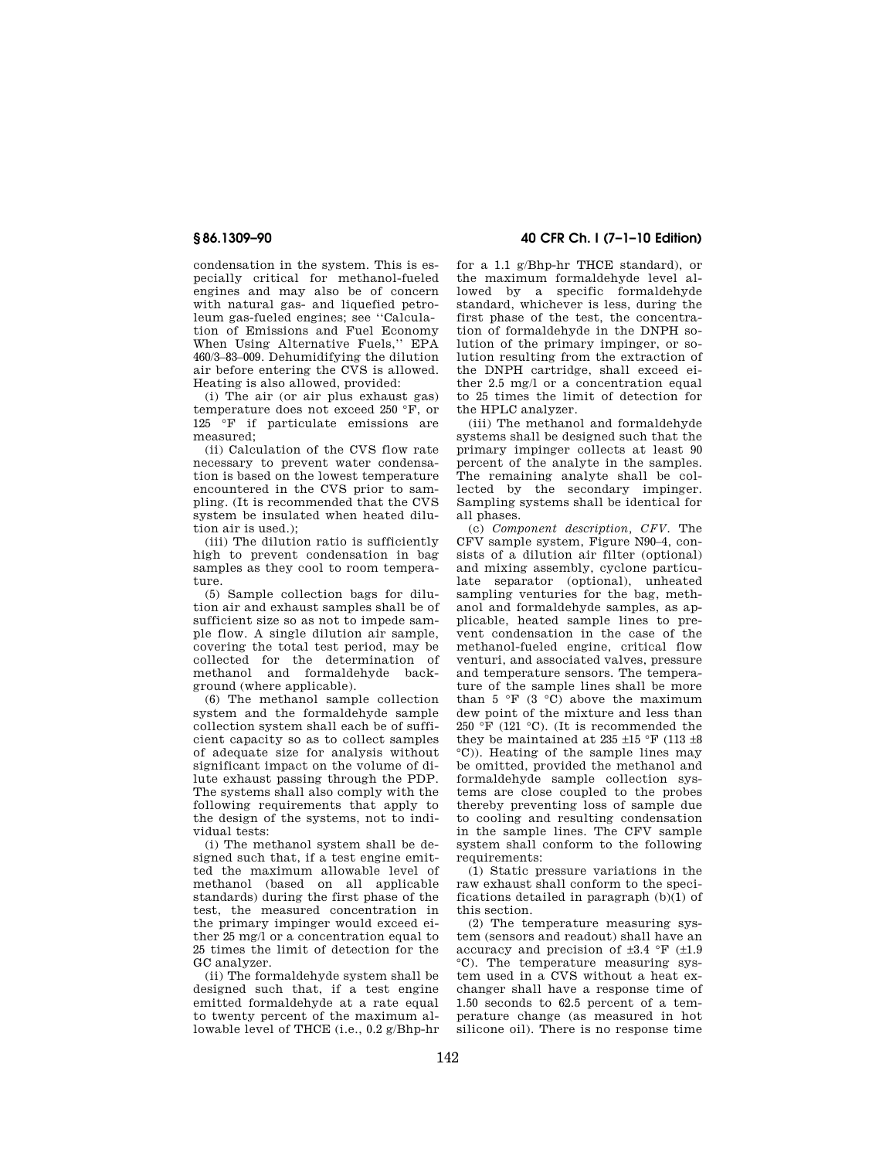condensation in the system. This is especially critical for methanol-fueled engines and may also be of concern with natural gas- and liquefied petroleum gas-fueled engines; see ''Calculation of Emissions and Fuel Economy When Using Alternative Fuels,'' EPA 460/3–83–009. Dehumidifying the dilution air before entering the CVS is allowed. Heating is also allowed, provided:

(i) The air (or air plus exhaust gas) temperature does not exceed 250 °F, or 125 °F if particulate emissions are measured;

(ii) Calculation of the CVS flow rate necessary to prevent water condensation is based on the lowest temperature encountered in the CVS prior to sampling. (It is recommended that the CVS system be insulated when heated dilution air is used.);

(iii) The dilution ratio is sufficiently high to prevent condensation in bag samples as they cool to room temperature.

(5) Sample collection bags for dilution air and exhaust samples shall be of sufficient size so as not to impede sample flow. A single dilution air sample, covering the total test period, may be collected for the determination of methanol and formaldehyde background (where applicable).

(6) The methanol sample collection system and the formaldehyde sample collection system shall each be of sufficient capacity so as to collect samples of adequate size for analysis without significant impact on the volume of dilute exhaust passing through the PDP. The systems shall also comply with the following requirements that apply to the design of the systems, not to individual tests:

(i) The methanol system shall be designed such that, if a test engine emitted the maximum allowable level of methanol (based on all applicable standards) during the first phase of the test, the measured concentration in the primary impinger would exceed either 25 mg/l or a concentration equal to 25 times the limit of detection for the GC analyzer.

(ii) The formaldehyde system shall be designed such that, if a test engine emitted formaldehyde at a rate equal to twenty percent of the maximum allowable level of THCE (i.e., 0.2 g/Bhp-hr

### **§ 86.1309–90 40 CFR Ch. I (7–1–10 Edition)**

for a 1.1 g/Bhp-hr THCE standard), or the maximum formaldehyde level allowed by a specific formaldehyde standard, whichever is less, during the first phase of the test, the concentration of formaldehyde in the DNPH solution of the primary impinger, or solution resulting from the extraction of the DNPH cartridge, shall exceed either 2.5 mg/l or a concentration equal to 25 times the limit of detection for the HPLC analyzer.

(iii) The methanol and formaldehyde systems shall be designed such that the primary impinger collects at least 90 percent of the analyte in the samples. The remaining analyte shall be collected by the secondary impinger. Sampling systems shall be identical for all phases.

(c) *Component description, CFV.* The CFV sample system, Figure N90–4, consists of a dilution air filter (optional) and mixing assembly, cyclone particulate separator (optional), unheated sampling venturies for the bag, methanol and formaldehyde samples, as applicable, heated sample lines to prevent condensation in the case of the methanol-fueled engine, critical flow venturi, and associated valves, pressure and temperature sensors. The temperature of the sample lines shall be more than  $5 \text{ }^\circ \text{F}$  (3  $\text{ }^\circ \text{C}$ ) above the maximum dew point of the mixture and less than 250 °F (121 °C). (It is recommended the they be maintained at 235  $\pm$ 15 °F (113  $\pm$ 8) °C)). Heating of the sample lines may be omitted, provided the methanol and formaldehyde sample collection systems are close coupled to the probes thereby preventing loss of sample due to cooling and resulting condensation in the sample lines. The CFV sample system shall conform to the following requirements:

(1) Static pressure variations in the raw exhaust shall conform to the specifications detailed in paragraph  $(b)(1)$  of this section.

(2) The temperature measuring system (sensors and readout) shall have an accuracy and precision of  $\pm 3.4$  °F ( $\pm 1.9$ ) °C). The temperature measuring system used in a CVS without a heat exchanger shall have a response time of 1.50 seconds to 62.5 percent of a temperature change (as measured in hot silicone oil). There is no response time